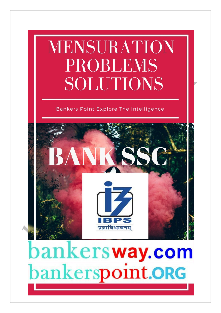# MENSURATION **PROBLEMS** SOLUTIONS

# Bankers Point Explore The Intelligence



bankersway.com bankerspoint.ORG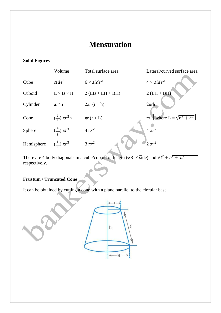# **Mensuration**

## **Solid Figures**

|            | Volume                    | Total surface area      | Lateral/curved surface area                   |
|------------|---------------------------|-------------------------|-----------------------------------------------|
| Cube       | $side^3$                  | $6 \times side^2$       | $4 \times side^2$                             |
| Cuboid     | $L \times B \times H$     | $2(LB + LH + BH)$       | $2(LH + BH)$                                  |
| Cylinder   | $\pi r^2$ h               | $2\pi r(r+h)$           | $2\pi$ rh                                     |
| Cone       | $(\frac{1}{2}) \pi r^2 h$ | $\pi r\left(r+L\right)$ | $\pi r l \left[$ where $L = \sqrt{r^2 + h^2}$ |
| Sphere     | $(\frac{4}{3}) \pi r^3$   | $4 \pi r^2$             | $4 \pi r^2$                                   |
| Hemisphere | $(\frac{2}{3}) \pi r^3$   | $3 \pi r^2$             | $2 \pi r^2$                                   |

There are 4 body diagonals in a cube/cuboid of length ( $\sqrt{3} \times \text{side}$ ) and  $\sqrt{l^2 + b^2 + h^2}$ respectively.

# **Frustum / Truncated Cone**

It can be obtained by cutting a cone with a plane parallel to the circular base.

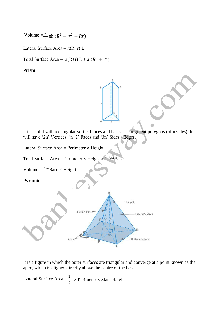Volume = 
$$
\frac{1}{3} \pi h (R^2 + r^2 + Rr)
$$

Lateral Surface Area =  $\pi(R+r)$  L

Total Surface Area =  $\pi(R+r) L + \pi (R^2 + r^2)$ 

#### **Prism**

It is a solid with rectangular vertical faces and bases as congruent polygons (of n sides). It will have '2n' Vertices; 'n+2' Faces and '3n' Sides / Edges.

Lateral Surface Area = Perimeter  $\times$  Height

Total Surface Area = Perimeter  $\times$  Height  $+ 2$ <sup>Area</sup>Base

Volume =  $AreaBase \times Height$ 

**Pyramid**



It is a figure in which the outer surfaces are triangular and converge at a point known as the apex, which is aligned directly above the centre of the base.

Lateral Surface Area  $=$  $\frac{1}{2}$  $\frac{1}{2}$  × Perimeter × Slant Height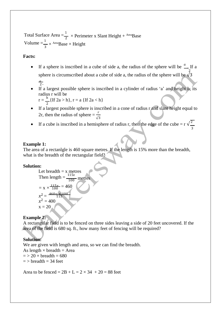Total Surface Area  $=$  $\frac{1}{2}$  × Perimeter x Slant Height + <sup>Area</sup>Base Volume  $=\frac{1}{2}$  $\frac{1}{3} \times$  Area<sub>Base</sub>  $\times$  Height

#### **Facts:**

- If a sphere is inscribed in a cube of side a, the radius of the sphere will be  $\frac{u}{v}$ . If a 2 sphere is circumscribed about a cube of side a, the radius of the sphere will be  $\sqrt{3}$  $\frac{a}{2}$ .
- If a largest possible sphere is inscribed in a cylinder of radius 'a' and height h, its radius r will be

 $r = \frac{h}{2} \{ \text{If } 2a > h \}, r = a \{ \text{If } 2a < h \}$ 

- If a largest possible sphere is inscribed in a cone of radius r and slant height equal to 2r, then the radius of sphere  $=\frac{7}{\sqrt{3}}$
- If a cube is inscribed in a hemisphere of radius r, then the edge of the cube =  $r \sqrt{\frac{2}{n}}$ 3

#### **Example 1:**

The area of a rectanlgle is 460 square metres. If the length is 15% more than the breadth, what is the breadth of the rectangular field?

#### **Solution:**

Let breadth = x metres  
\nThen length = 
$$
\frac{115x}{100}
$$
 metres  
\n=  $x \times \frac{115x}{100} = 460$   
\n $x^2 = \frac{460x}{115} \times 400$   
\n $x = 20$ 

#### **Example 2:**

A rectangular field is to be fenced on three sides leaving a side of 20 feet uncovered. If the area of the field is 680 sq. ft., how many feet of fencing will be required?

#### **Solution:**

We are given with length and area, so we can find the breadth. As length  $\times$  breadth = Area  $=$  > 20  $\times$  breadth = 680  $=$  > breadth  $=$  34 feet

Area to be fenced =  $2B + L = 2 \times 34 + 20 = 88$  feet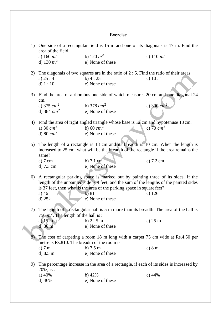## **Exercise**

| area of the field.<br>b) 120 $m^2$<br>c) 110 $m^2$<br>a) 160 $m^2$<br>d) 130 $m^2$<br>e) None of these<br>2) The diagonals of two squares are in the ratio of $2:5$ . Find the ratio of their areas.<br>$b)$ 4 : 25<br>a) $25:4$<br>c) $10:1$<br>d) $1:10$<br>e) None of these |                                                                                     |  |  |  |  |
|--------------------------------------------------------------------------------------------------------------------------------------------------------------------------------------------------------------------------------------------------------------------------------|-------------------------------------------------------------------------------------|--|--|--|--|
|                                                                                                                                                                                                                                                                                |                                                                                     |  |  |  |  |
|                                                                                                                                                                                                                                                                                |                                                                                     |  |  |  |  |
|                                                                                                                                                                                                                                                                                |                                                                                     |  |  |  |  |
|                                                                                                                                                                                                                                                                                |                                                                                     |  |  |  |  |
|                                                                                                                                                                                                                                                                                |                                                                                     |  |  |  |  |
|                                                                                                                                                                                                                                                                                |                                                                                     |  |  |  |  |
| 3) Find the area of a rhombus one side of which measures 20 cm and one diagonal 24<br>cm.                                                                                                                                                                                      |                                                                                     |  |  |  |  |
| c) 390 $cm2$<br>b) 378 $cm2$<br>a) 375 $cm2$                                                                                                                                                                                                                                   |                                                                                     |  |  |  |  |
| d) 384 $cm2$<br>e) None of these                                                                                                                                                                                                                                               |                                                                                     |  |  |  |  |
|                                                                                                                                                                                                                                                                                |                                                                                     |  |  |  |  |
| Find the area of right angled triangle whose base is 12 cm and hypotenuse 13 cm.<br>4)                                                                                                                                                                                         |                                                                                     |  |  |  |  |
| a) 30 $cm2$<br>b) 60 $cm2$<br>c) 70 $cm2$                                                                                                                                                                                                                                      |                                                                                     |  |  |  |  |
| d) 80 $cm2$<br>e) None of these                                                                                                                                                                                                                                                |                                                                                     |  |  |  |  |
| 5) The length of a rectangle is 18 cm and its breadth is 10 cm. When the length is                                                                                                                                                                                             |                                                                                     |  |  |  |  |
| increased to 25 cm, what will be the breadth of the rectangle if the area remains the                                                                                                                                                                                          |                                                                                     |  |  |  |  |
| same?                                                                                                                                                                                                                                                                          |                                                                                     |  |  |  |  |
| b) 7.1 cm<br>c) $7.2 \text{ cm}$<br>a) $7 \text{ cm}$                                                                                                                                                                                                                          |                                                                                     |  |  |  |  |
| e) None of these<br>d) 7.3 cm                                                                                                                                                                                                                                                  |                                                                                     |  |  |  |  |
|                                                                                                                                                                                                                                                                                |                                                                                     |  |  |  |  |
|                                                                                                                                                                                                                                                                                | 6) A rectangular parking space is marked out by painting three of its sides. If the |  |  |  |  |
| length of the unpainted side is 9 feet, and the sum of the lengths of the painted sides                                                                                                                                                                                        |                                                                                     |  |  |  |  |
| is 37 feet, then what is the area of the parking space in square feet?                                                                                                                                                                                                         |                                                                                     |  |  |  |  |
| b)81<br>a) $46$<br>c) $126$<br>e) None of these                                                                                                                                                                                                                                |                                                                                     |  |  |  |  |
| $d)$ 252                                                                                                                                                                                                                                                                       |                                                                                     |  |  |  |  |
| 7) The length of a rectangular hall is 5 m more than its breadth. The area of the hall is                                                                                                                                                                                      |                                                                                     |  |  |  |  |
| 750 $m^2$ . The length of the hall is:                                                                                                                                                                                                                                         |                                                                                     |  |  |  |  |
| a) $15 \text{ m}$<br>b) $22.5 \text{ m}$<br>c) $25 \text{ m}$                                                                                                                                                                                                                  |                                                                                     |  |  |  |  |
| $d)$ 30 m<br>e) None of these                                                                                                                                                                                                                                                  |                                                                                     |  |  |  |  |
|                                                                                                                                                                                                                                                                                |                                                                                     |  |  |  |  |
|                                                                                                                                                                                                                                                                                | 8) The cost of carpeting a room 18 m long with a carpet 75 cm wide at Rs.4.50 per   |  |  |  |  |
| metre is Rs.810. The breadth of the room is:                                                                                                                                                                                                                                   |                                                                                     |  |  |  |  |
| b) $7.5 \text{ m}$<br>c) 8 m<br>a) $7m$                                                                                                                                                                                                                                        |                                                                                     |  |  |  |  |
| e) None of these<br>d) 8.5 m                                                                                                                                                                                                                                                   |                                                                                     |  |  |  |  |
| The percentage increase in the area of a rectangle, if each of its sides is increased by<br>9)                                                                                                                                                                                 |                                                                                     |  |  |  |  |
| $20\%$ , is:                                                                                                                                                                                                                                                                   |                                                                                     |  |  |  |  |
| a) 40%<br>$b)$ 42%<br>c) $44%$                                                                                                                                                                                                                                                 |                                                                                     |  |  |  |  |
| e) None of these<br>d) $46%$                                                                                                                                                                                                                                                   |                                                                                     |  |  |  |  |
|                                                                                                                                                                                                                                                                                |                                                                                     |  |  |  |  |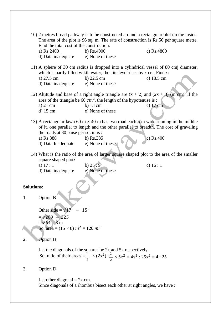\n- 10) 2 metres broad pathway is to be constructed around a rectangular plot on the inside. The area of the plot is 96 sq. m. The rate of construction is Rs.50 per square metre. Find the total cost of the construction.
\n- a) Rs.2400 b) Rs.400 c) Rs.4800 d) Data inadequate c) None of these
\n- 11) A sphere of 30 cm radius is dropped into a cylindrical vessel of 80 cmj diameter, which is partly filled with water, then its level rises by x cm. Find x: a) 27.5 cm b) 22.5 cm d) 22.5 cm d) 22.5 cm d) 22.5 cm d) 22.5 cm d) 22.5 cm d) 22.5 cm d) 18.5 cm d) 18.5 cm d) 18.5 cm d) 18.5 cm d) 18.5 cm d) 18.5 cm d) 18.5 cm d) 18.5 cm d) 18.5 cm d) 18.5 cm d) 15 cm e) None of these
\n- 13) A rectangular law of 60 m × 40 m has two road each 5 m wide running in the middle of it, one parallel to length and the other parallel. The cost of gravity the model is the road at 80 pairs per sq. m is: a) Rs.380 d) Data Inadequate e) None of these
\n- 14) What is the ratio of the area of larger square shaped plot to the area of the smaller square shaped plot?
\n- 15. a) 17 : 1 b) 25:9 c) 16 : 1 d) Data inadequate e) None of these
\n- 16.1 d) Data inadequate e) None of these
\n- 17.1 d) Data inadequate e) None of these
\n- 18.25 a = 
$$
\sqrt{64} = 8
$$
 m. So, area =  $(15 \times 8)$   $m^2 = 120$   $m^2$
\n- 2.2 c) 289 - 225 27 25 28 28 28 29 22 21 21 21 20 22 22 23 23 24 25 25 26 27 27 27 28 28 28 29 21 20 21 20 22 21 21 221 223 223 231 231 241 25 25 26 27 27 27 27 28 28 29 21 20 231 20 2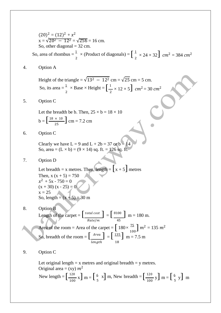So, area of rhombus  $=\frac{1}{2} \times$  (Product of diagonals) =  $\left[ \frac{1}{2} \right]$  $(20)^2 = (12)^2 + x^2$  $x = \sqrt{20^2 - 12^2} = \sqrt{256} = 16$  cm. So, other diagonal  $=$  32 cm. 2  $\times$  (Product of diagonals) =  $\int_0^1$  $\frac{1}{2} \times 24 \times 32$   $cm^2 = 384$   $cm^2$ 

4. Option A

So, its area  $=\frac{1}{2} \times \text{Base} \times \text{Height} =$ Height of the triangle =  $\sqrt{13^2 - 12^2}$  cm =  $\sqrt{25}$  cm = 5 cm. 2  $\times$  Base  $\times$  Height =  $\left[\frac{1}{n}\right]$  $\frac{1}{2}$  × 12 × 5]  $cm^2$  = 30  $cm^2$ 

5. Option C

 $b = \left[ \frac{18 \times 10}{25} \right]$  cm = 7.2 cm Let the breadth be b. Then,  $25 \times b = 18 \times 10$ 

6. Option C

Clearly we have  $L = 9$  and  $L + 2b = 37$  or  $b = 14$ So, area =  $(L \times b) = (9 \times 14)$  sq. ft. = 126 sq. ft.

7. Option D

Let breadth = x metres. Then,  $length = \begin{bmatrix} x + 5 \end{bmatrix}$  metres Then,  $x(x + 5) = 750$  $x^2 + 5x - 750 = 0$  $(x + 30) (x - 25) = 0$  $x = 25$ So, length =  $(x + 5) = 30$  m

- Area of the room = Area of the carpet =  $\left[180 \times \frac{75}{100}\right] m^2 = 135 m^2$ 8. Option B Length of the carpet =  $\left[\frac{total \, cost}{\frac{total \, cost}{\frac{1}{1}}}\right] = \left[\frac{8100}{\frac{1}{1}}\right]$  m = 180 m.  $Rate/m$  45 So, breadth of the room =  $\left[\frac{Area}{135}\right] = \left[\frac{135}{2}\right]$  m = 7.5 m length 18
- 9. Option C

New length =  $\left[\frac{120}{100} \times \right]$  m =  $\left[\frac{6}{5} \times \right]$  m, New breadth =  $\left[\frac{120}{100} \times \right]$  m =  $\left[\frac{6}{5} \times \right]$ Let original length  $= x$  metres and original breadth  $= y$  metres. Original area = (xy)  $m^2$  $\left[\frac{120}{100} \text{ x}\right] \text{ m} = \left[\frac{6}{5} \text{ x}\right] \text{ m}$ , New breadth  $= \left[\frac{120}{100}\right]$  $\frac{120}{100}$  y] m =  $\left[\frac{6}{5}$  y] m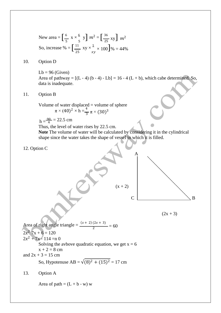New area = 
$$
\left[\frac{6}{5} \times \frac{6}{5} \text{ y}\right] m^2 = \left[\frac{36}{25} \text{ xy}\right] m^2
$$
  
So, increase % =  $\left[\frac{11}{25} \text{ xy} \times \frac{1}{xy} \times 100\right] \%$  = 44%

#### 10. Option D

 $Lb = 96$  (Given) Area of pathway =  $[(L - 4) (b - 4) - Lb] = 16 - 4 (L + b)$ , which cabe determined. So, data is inadequate.

11. Option B

Volume of water displaced = volume of sphere  $\pi \times (40)^2 \times h = \frac{4}{3} \pi \times (30)^3$ 

$$
h = \frac{90}{4} = 22.5
$$
 cm

Thus, the level of water rises by 22.5 cm.

**Note** The volume of water will be calculated by considering it in the cylindrical shape since the water takes the shape of vessel in which it is filled.







Area of right angle triangle =  $\frac{(x+2)(2x+3)}{2}$  = 60  $2x^2$  7x + 6 = 120  $2x^2 + 7x - 114 = n$  0 Solving the avbove quadratic equation, we get  $x = 6$  $x + 2 = 8$  cm and  $2x + 3 = 15$  cm So, Hypotenuse AB =  $\sqrt{(8)^2 + (15)^2} = 17$  cm

13. Option A

Area of path =  $(L + b - w)$  w